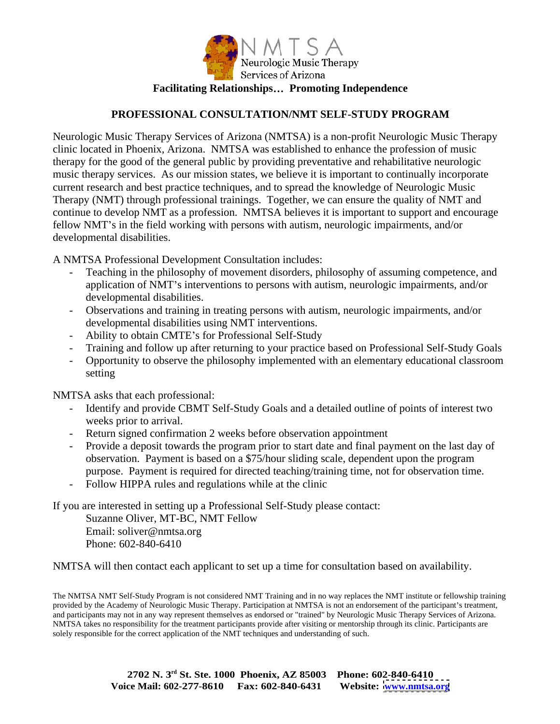

## **PROFESSIONAL CONSULTATION/NMT SELF-STUDY PROGRAM**

Neurologic Music Therapy Services of Arizona (NMTSA) is a non-profit Neurologic Music Therapy clinic located in Phoenix, Arizona. NMTSA was established to enhance the profession of music therapy for the good of the general public by providing preventative and rehabilitative neurologic music therapy services. As our mission states, we believe it is important to continually incorporate current research and best practice techniques, and to spread the knowledge of Neurologic Music Therapy (NMT) through professional trainings. Together, we can ensure the quality of NMT and continue to develop NMT as a profession. NMTSA believes it is important to support and encourage fellow NMT's in the field working with persons with autism, neurologic impairments, and/or developmental disabilities.

A NMTSA Professional Development Consultation includes:

- Teaching in the philosophy of movement disorders, philosophy of assuming competence, and application of NMT's interventions to persons with autism, neurologic impairments, and/or developmental disabilities.
- Observations and training in treating persons with autism, neurologic impairments, and/or developmental disabilities using NMT interventions.<br>- Ability to obtain CMTE's for Professional Self-Study
- 
- Training and follow up after returning to your practice based on Professional Self-Study Goals
- Opportunity to observe the philosophy implemented with an elementary educational classroom setting the setting of the setting of the setting of the setting of the setting of the setting of the setting of the setting of the setting of the setting of the setting of the setting of the setting of the setting of the

NMTSA asks that each professional:

- Identify and provide CBMT Self-Study Goals and a detailed outline of points of interest two weeks prior to arrival.
- Return signed confirmation 2 weeks before observation appointment
- Provide a deposit towards the program prior to start date and final payment on the last day of observation. Payment is based on a \$75/hour sliding scale, dependent upon the program purpose. Payment is required for directed teaching/training time, not for observation time.
- Follow HIPPA rules and regulations while at the clinic

If you are interested in setting up a Professional Self-Study please contact:

Suzanne Oliver, MT-BC, NMT Fellow Email: soliver@nmtsa.org Phone: 602-840-6410

NMTSA will then contact each applicant to set up a time for consultation based on availability.

The NMTSA NMT Self-Study Program is not considered NMT Training and in no way replaces the NMT institute or fellowship training provided by the Academy of Neurologic Music Therapy. Participation at NMTSA is not an endorsement of the participant's treatment, and participants may not in any way represent themselves as endorsed or "trained" by Neurologic Music Therapy Services of Arizona. NMTSA takes no responsibility for the treatment participants provide after visiting or mentorship through its clinic. Participants are solely responsible for the correct application of the NMT techniques and understanding of such.